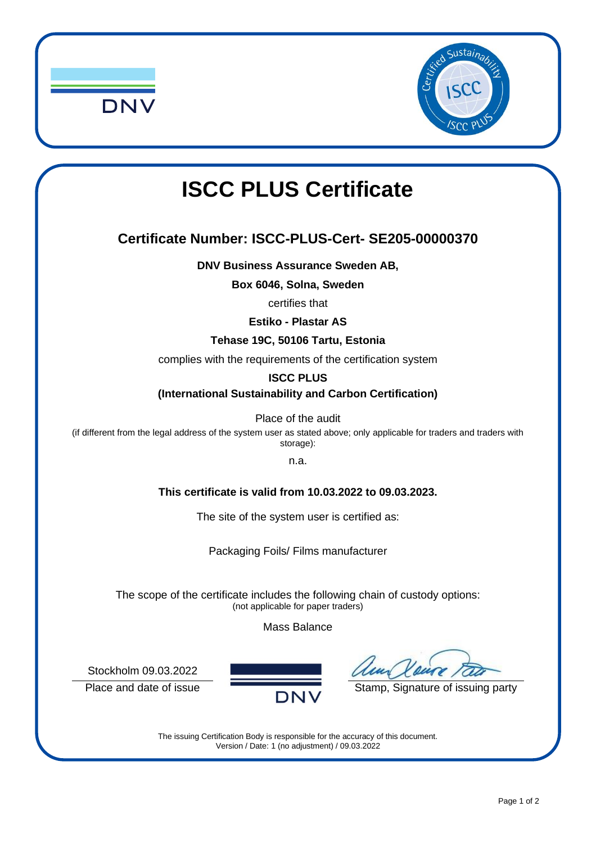



# **ISCC PLUS Certificate**

## **Certificate Number: ISCC-PLUS-Cert- SE205-00000370**

**DNV Business Assurance Sweden AB,**

**Box 6046, Solna, Sweden**

certifies that

**Estiko - Plastar AS** 

#### **Tehase 19C, 50106 Tartu, Estonia**

complies with the requirements of the certification system

#### **ISCC PLUS**

**(International Sustainability and Carbon Certification)**

Place of the audit

(if different from the legal address of the system user as stated above; only applicable for traders and traders with storage):

n.a.

#### **This certificate is valid from 10.03.2022 to 09.03.2023.**

The site of the system user is certified as:

Packaging Foils/ Films manufacturer

The scope of the certificate includes the following chain of custody options: (not applicable for paper traders)

Mass Balance

Stockholm 09.03.2022



Place and date of issue  $\overline{DNV}$  Stamp, Signature of issuing party

The issuing Certification Body is responsible for the accuracy of this document. Version / Date: 1 (no adjustment) / 09.03.2022